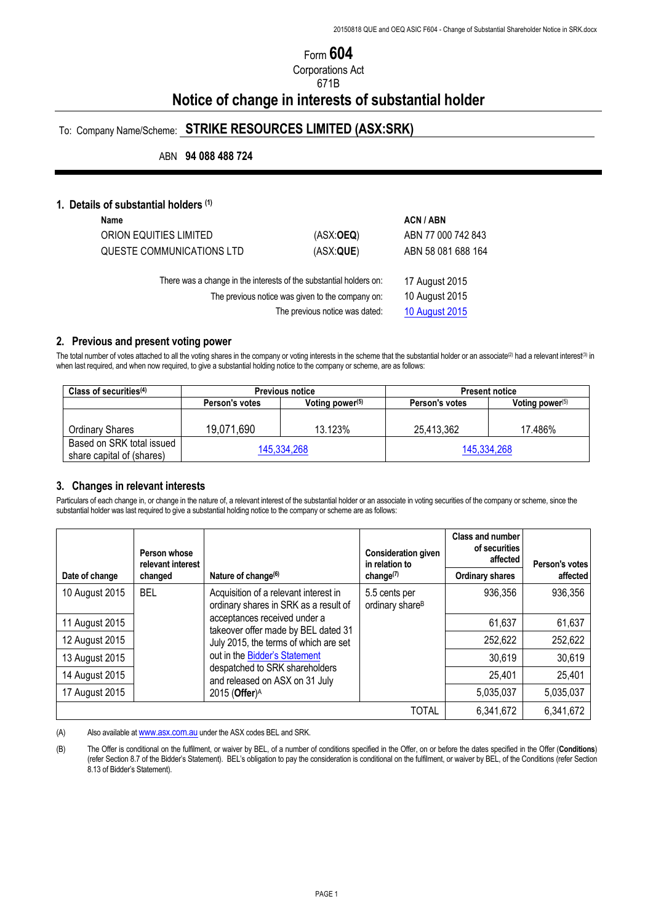# Form **604**

Corporations Act

# 671B

# **Notice of change in interests of substantial holder**

# To: Company Name/Scheme: **STRIKE RESOURCES LIMITED (ASX:SRK)**

ABN **94 088 488 724**

#### **1. Details of substantial holders (1)**

| Name                                                               |                                | <b>ACN/ABN</b>        |
|--------------------------------------------------------------------|--------------------------------|-----------------------|
| ORION EQUITIES LIMITED                                             | (ASK:OEQ)                      | ABN 77 000 742 843    |
| QUESTE COMMUNICATIONS LTD                                          | (ASX:QUE)                      | ABN 58 081 688 164    |
| There was a change in the interests of the substantial holders on: |                                | 17 August 2015        |
| The previous notice was given to the company on:                   | 10 August 2015                 |                       |
|                                                                    | The previous notice was dated: | <b>10 August 2015</b> |

### **2. Previous and present voting power**

The total number of votes attached to all the voting shares in the company or voting interests in the scheme that the substantial holder or an associate(2) had a relevant interest(3) in when last required, and when now required, to give a substantial holding notice to the company or scheme, are as follows:

| Class of securities $(4)$                              | <b>Previous notice</b> |                    | <b>Present notice</b> |                    |
|--------------------------------------------------------|------------------------|--------------------|-----------------------|--------------------|
|                                                        | Person's votes         | Voting power $(5)$ | Person's votes        | Voting power $(5)$ |
| <b>Ordinary Shares</b>                                 | 19,071,690             | 13.123%            | 25,413,362            | 17.486%            |
|                                                        |                        |                    |                       |                    |
| Based on SRK total issued<br>share capital of (shares) | 145,334,268            |                    | 145,334,268           |                    |

#### **3. Changes in relevant interests**

Particulars of each change in, or change in the nature of, a relevant interest of the substantial holder or an associate in voting securities of the company or scheme, since the substantial holder was last required to give a substantial holding notice to the company or scheme are as follows:

|                                                              | Person whose<br>relevant interest |                                                                                                                                                                                                                                                | <b>Consideration given</b><br>in relation to | Class and number<br>of securities<br>affected | Person's votes |
|--------------------------------------------------------------|-----------------------------------|------------------------------------------------------------------------------------------------------------------------------------------------------------------------------------------------------------------------------------------------|----------------------------------------------|-----------------------------------------------|----------------|
| Nature of change <sup>(6)</sup><br>Date of change<br>changed | change $(7)$                      | <b>Ordinary shares</b>                                                                                                                                                                                                                         | affected                                     |                                               |                |
| 10 August 2015                                               | BEL                               | Acquisition of a relevant interest in<br>ordinary shares in SRK as a result of                                                                                                                                                                 | 5.5 cents per<br>ordinary share <sup>B</sup> | 936,356                                       | 936,356        |
| 11 August 2015                                               |                                   | acceptances received under a<br>takeover offer made by BEL dated 31<br>July 2015, the terms of which are set<br>out in the Bidder's Statement<br>despatched to SRK shareholders<br>and released on ASX on 31 July<br>2015 (Offer) <sup>A</sup> |                                              | 61,637                                        | 61,637         |
| 12 August 2015                                               |                                   |                                                                                                                                                                                                                                                |                                              | 252,622                                       | 252,622        |
| 13 August 2015                                               |                                   |                                                                                                                                                                                                                                                |                                              | 30,619                                        | 30,619         |
| 14 August 2015                                               |                                   |                                                                                                                                                                                                                                                |                                              | 25,401                                        | 25,401         |
| 17 August 2015                                               |                                   |                                                                                                                                                                                                                                                |                                              | 5,035,037                                     | 5,035,037      |
|                                                              |                                   |                                                                                                                                                                                                                                                | TOTAL                                        | 6,341,672                                     | 6,341,672      |

(A) Also available at www.asx.com.au under the ASX codes BEL and SRK.

(B) The Offer is conditional on the fulfilment, or waiver by BEL, of a number of conditions specified in the Offer, on or before the dates specified in the Offer (**Conditions**) (refer Section 8.7 of the Bidder's Statement). BEL's obligation to pay the consideration is conditional on the fulfilment, or waiver by BEL, of the Conditions (refer Section 8.13 of Bidder's Statement).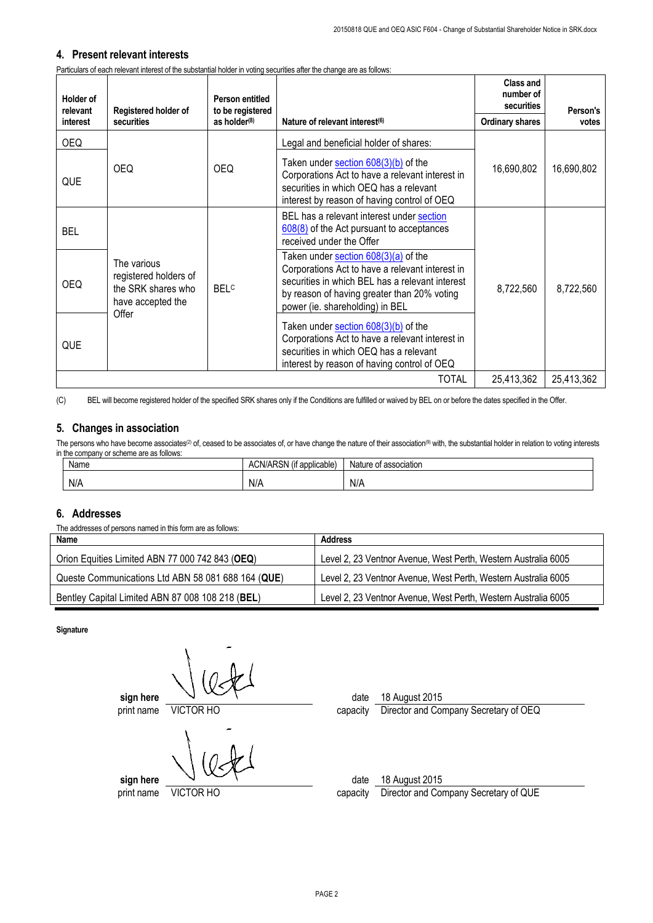### **4. Present relevant interests**

Particulars of each relevant interest of the substantial holder in voting securities after the change are as follows:

| <b>Holder of</b><br>relevant | Registered holder of                                                                     | Person entitled<br>to be registered |                                                                                                                                                                                                                              | <b>Class and</b><br>number of<br>securities | Person's   |
|------------------------------|------------------------------------------------------------------------------------------|-------------------------------------|------------------------------------------------------------------------------------------------------------------------------------------------------------------------------------------------------------------------------|---------------------------------------------|------------|
| interest                     | securities                                                                               | as holder <sup>(8)</sup>            | Nature of relevant interest <sup>(6)</sup>                                                                                                                                                                                   | <b>Ordinary shares</b>                      | votes      |
| OEQ.                         |                                                                                          |                                     | Legal and beneficial holder of shares:                                                                                                                                                                                       |                                             |            |
| QUE                          | <b>OEQ</b>                                                                               | OEQ.                                | Taken under section $608(3)(b)$ of the<br>Corporations Act to have a relevant interest in<br>securities in which OEQ has a relevant<br>interest by reason of having control of OEQ                                           | 16,690,802                                  | 16,690,802 |
| <b>BEL</b>                   |                                                                                          |                                     | BEL has a relevant interest under section<br>608(8) of the Act pursuant to acceptances<br>received under the Offer                                                                                                           |                                             |            |
| <b>OEQ</b>                   | The various<br>registered holders of<br>the SRK shares who<br>have accepted the<br>Offer | <b>BELC</b>                         | Taken under section 608(3)(a) of the<br>Corporations Act to have a relevant interest in<br>securities in which BEL has a relevant interest<br>by reason of having greater than 20% voting<br>power (ie. shareholding) in BEL | 8,722,560                                   | 8,722,560  |
| QUE                          |                                                                                          |                                     | Taken under section $608(3)(b)$ of the<br>Corporations Act to have a relevant interest in<br>securities in which OEQ has a relevant<br>interest by reason of having control of OEQ                                           |                                             |            |
|                              | TOTAL<br>25,413,362                                                                      |                                     |                                                                                                                                                                                                                              | 25,413,362                                  |            |

(C) BEL will become registered holder of the specified SRK shares only if the Conditions are fulfilled or waived by BEL on or before the dates specified in the Offer.

## **5. Changes in association**

The persons who have become associates<sup>(2)</sup> of, ceased to be associates of, or have change the nature of their association<sup>(9)</sup> with, the substantial holder in relation to voting interests in the company or scheme are as follows:

| Name | $\cdots$<br>ARSN<br>ACN/AP <sup>-</sup><br>(if applicable) | Nature of association |
|------|------------------------------------------------------------|-----------------------|
| N/A  | N/A                                                        | N/A                   |

## **6. Addresses**

The addresses of persons named in this form are as follows:

| Name                                               | Address                                                        |
|----------------------------------------------------|----------------------------------------------------------------|
| Orion Equities Limited ABN 77 000 742 843 (OEQ)    | Level 2, 23 Ventnor Avenue, West Perth, Western Australia 6005 |
| Queste Communications Ltd ABN 58 081 688 164 (QUE) | Level 2, 23 Ventnor Avenue, West Perth, Western Australia 6005 |
| Bentley Capital Limited ABN 87 008 108 218 (BEL)   | Level 2, 23 Ventnor Avenue, West Perth, Western Australia 6005 |

**Signature**

**sign here**  $\sqrt{ }$ print name VICTOR HO capacity Director and Company Secretary of OEQ

**sign here**  $\sqrt{2}$ 

print name VICTOR HO capacity Director and Company Secretary of QUE